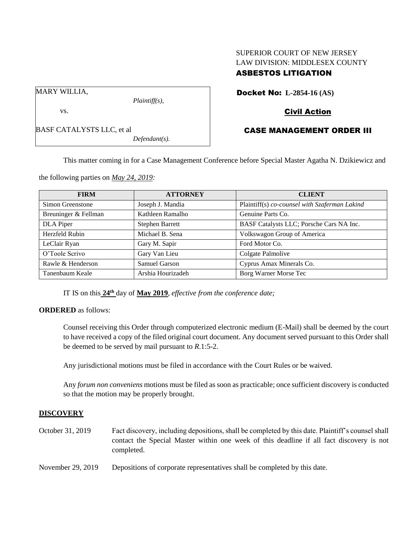# SUPERIOR COURT OF NEW JERSEY LAW DIVISION: MIDDLESEX COUNTY ASBESTOS LITIGATION

Docket No: **L-2854-16 (AS)**

## Civil Action

## CASE MANAGEMENT ORDER III

This matter coming in for a Case Management Conference before Special Master Agatha N. Dzikiewicz and

the following parties on *May 24, 2019:*

BASF CATALYSTS LLC, et al

| <b>FIRM</b>          | <b>ATTORNEY</b>        | <b>CLIENT</b>                                 |
|----------------------|------------------------|-----------------------------------------------|
| Simon Greenstone     | Joseph J. Mandia       | Plaintiff(s) co-counsel with Szaferman Lakind |
| Breuninger & Fellman | Kathleen Ramalho       | Genuine Parts Co.                             |
| DLA Piper            | <b>Stephen Barrett</b> | BASF Catalysts LLC; Porsche Cars NA Inc.      |
| Herzfeld Rubin       | Michael B. Sena        | Volkswagon Group of America                   |
| LeClair Ryan         | Gary M. Sapir          | Ford Motor Co.                                |
| O'Toole Scrivo       | Gary Van Lieu          | Colgate Palmolive                             |
| Rawle & Henderson    | Samuel Garson          | Cyprus Amax Minerals Co.                      |
| Tanenbaum Keale      | Arshia Hourizadeh      | Borg Warner Morse Tec                         |

IT IS on this **24th** day of **May 2019**, *effective from the conference date;*

#### **ORDERED** as follows:

Counsel receiving this Order through computerized electronic medium (E-Mail) shall be deemed by the court to have received a copy of the filed original court document. Any document served pursuant to this Order shall be deemed to be served by mail pursuant to *R*.1:5-2.

Any jurisdictional motions must be filed in accordance with the Court Rules or be waived.

Any *forum non conveniens* motions must be filed as soon as practicable; once sufficient discovery is conducted so that the motion may be properly brought.

#### **DISCOVERY**

October 31, 2019 Fact discovery, including depositions, shall be completed by this date. Plaintiff's counsel shall contact the Special Master within one week of this deadline if all fact discovery is not completed.

November 29, 2019 Depositions of corporate representatives shall be completed by this date.

MARY WILLIA,

vs.

*Plaintiff(s),*

*Defendant(s).*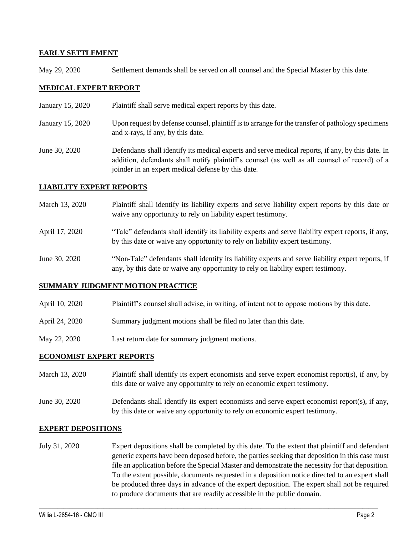### **EARLY SETTLEMENT**

May 29, 2020 Settlement demands shall be served on all counsel and the Special Master by this date.

## **MEDICAL EXPERT REPORT**

- January 15, 2020 Plaintiff shall serve medical expert reports by this date.
- January 15, 2020 Upon request by defense counsel, plaintiff is to arrange for the transfer of pathology specimens and x-rays, if any, by this date.
- June 30, 2020 Defendants shall identify its medical experts and serve medical reports, if any, by this date. In addition, defendants shall notify plaintiff's counsel (as well as all counsel of record) of a joinder in an expert medical defense by this date.

### **LIABILITY EXPERT REPORTS**

- March 13, 2020 Plaintiff shall identify its liability experts and serve liability expert reports by this date or waive any opportunity to rely on liability expert testimony.
- April 17, 2020 "Talc" defendants shall identify its liability experts and serve liability expert reports, if any, by this date or waive any opportunity to rely on liability expert testimony.
- June 30, 2020 "Non-Talc" defendants shall identify its liability experts and serve liability expert reports, if any, by this date or waive any opportunity to rely on liability expert testimony.

#### **SUMMARY JUDGMENT MOTION PRACTICE**

- April 10, 2020 Plaintiff's counsel shall advise, in writing, of intent not to oppose motions by this date.
- April 24, 2020 Summary judgment motions shall be filed no later than this date.
- May 22, 2020 Last return date for summary judgment motions.

## **ECONOMIST EXPERT REPORTS**

- March 13, 2020 Plaintiff shall identify its expert economists and serve expert economist report(s), if any, by this date or waive any opportunity to rely on economic expert testimony.
- June 30, 2020 Defendants shall identify its expert economists and serve expert economist report(s), if any, by this date or waive any opportunity to rely on economic expert testimony.

#### **EXPERT DEPOSITIONS**

July 31, 2020 Expert depositions shall be completed by this date. To the extent that plaintiff and defendant generic experts have been deposed before, the parties seeking that deposition in this case must file an application before the Special Master and demonstrate the necessity for that deposition. To the extent possible, documents requested in a deposition notice directed to an expert shall be produced three days in advance of the expert deposition. The expert shall not be required to produce documents that are readily accessible in the public domain.

 $\_$  , and the set of the set of the set of the set of the set of the set of the set of the set of the set of the set of the set of the set of the set of the set of the set of the set of the set of the set of the set of th